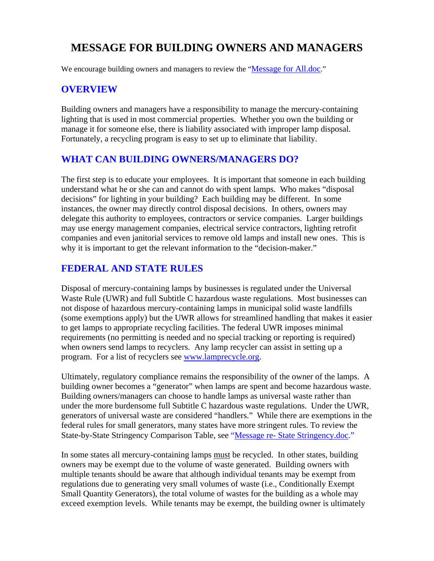# **MESSAGE FOR BUILDING OWNERS AND MANAGERS**

We encourage building owners and managers to review the "Message for All.doc."

### **OVERVIEW**

Building owners and managers have a responsibility to manage the mercury-containing lighting that is used in most commercial properties. Whether you own the building or manage it for someone else, there is liability associated with improper lamp disposal. Fortunately, a recycling program is easy to set up to eliminate that liability.

### **WHAT CAN BUILDING OWNERS/MANAGERS DO?**

The first step is to educate your employees. It is important that someone in each building understand what he or she can and cannot do with spent lamps. Who makes "disposal decisions" for lighting in your building? Each building may be different. In some instances, the owner may directly control disposal decisions. In others, owners may delegate this authority to employees, contractors or service companies. Larger buildings may use energy management companies, electrical service contractors, lighting retrofit companies and even janitorial services to remove old lamps and install new ones. This is why it is important to get the relevant information to the "decision-maker."

### **FEDERAL AND STATE RULES**

Disposal of mercury-containing lamps by businesses is regulated under the Universal Waste Rule (UWR) and full Subtitle C hazardous waste regulations. Most businesses can not dispose of hazardous mercury-containing lamps in municipal solid waste landfills (some exemptions apply) but the UWR allows for streamlined handling that makes it easier to get lamps to appropriate recycling facilities. The federal UWR imposes minimal requirements (no permitting is needed and no special tracking or reporting is required) when owners send lamps to recyclers. Any lamp recycler can assist in setting up a program. For a list of recyclers see [www.lamprecycle.org](http://www.lamprecycle.org/).

Ultimately, regulatory compliance remains the responsibility of the owner of the lamps. A building owner becomes a "generator" when lamps are spent and become hazardous waste. Building owners/managers can choose to handle lamps as universal waste rather than under the more burdensome full Subtitle C hazardous waste regulations. Under the UWR, generators of universal waste are considered "handlers." While there are exemptions in the federal rules for small generators, many states have more stringent rules. To review the State-by-State Stringency Comparison Table, see "Message re- State Stringency.doc."

In some states all mercury-containing lamps must be recycled. In other states, building owners may be exempt due to the volume of waste generated. Building owners with multiple tenants should be aware that although individual tenants may be exempt from regulations due to generating very small volumes of waste (i.e., Conditionally Exempt Small Quantity Generators), the total volume of wastes for the building as a whole may exceed exemption levels. While tenants may be exempt, the building owner is ultimately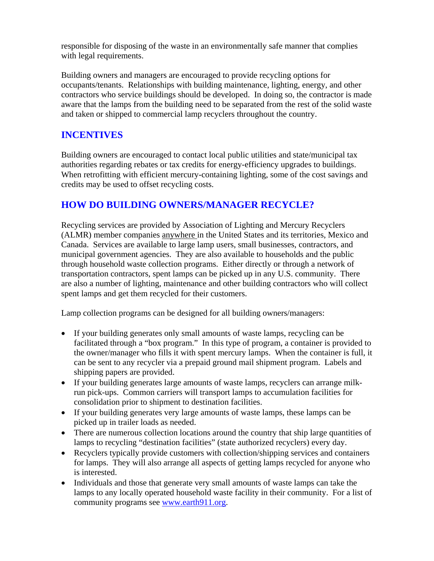responsible for disposing of the waste in an environmentally safe manner that complies with legal requirements.

Building owners and managers are encouraged to provide recycling options for occupants/tenants. Relationships with building maintenance, lighting, energy, and other contractors who service buildings should be developed. In doing so, the contractor is made aware that the lamps from the building need to be separated from the rest of the solid waste and taken or shipped to commercial lamp recyclers throughout the country.

### **INCENTIVES**

Building owners are encouraged to contact local public utilities and state/municipal tax authorities regarding rebates or tax credits for energy-efficiency upgrades to buildings. When retrofitting with efficient mercury-containing lighting, some of the cost savings and credits may be used to offset recycling costs.

## **HOW DO BUILDING OWNERS/MANAGER RECYCLE?**

Recycling services are provided by Association of Lighting and Mercury Recyclers (ALMR) member companies anywhere in the United States and its territories, Mexico and Canada. Services are available to large lamp users, small businesses, contractors, and municipal government agencies. They are also available to households and the public through household waste collection programs. Either directly or through a network of transportation contractors, spent lamps can be picked up in any U.S. community. There are also a number of lighting, maintenance and other building contractors who will collect spent lamps and get them recycled for their customers.

Lamp collection programs can be designed for all building owners/managers:

- If your building generates only small amounts of waste lamps, recycling can be facilitated through a "box program." In this type of program, a container is provided to the owner/manager who fills it with spent mercury lamps. When the container is full, it can be sent to any recycler via a prepaid ground mail shipment program. Labels and shipping papers are provided.
- If your building generates large amounts of waste lamps, recyclers can arrange milkrun pick-ups. Common carriers will transport lamps to accumulation facilities for consolidation prior to shipment to destination facilities.
- If your building generates very large amounts of waste lamps, these lamps can be picked up in trailer loads as needed.
- There are numerous collection locations around the country that ship large quantities of lamps to recycling "destination facilities" (state authorized recyclers) every day.
- Recyclers typically provide customers with collection/shipping services and containers for lamps. They will also arrange all aspects of getting lamps recycled for anyone who is interested.
- Individuals and those that generate very small amounts of waste lamps can take the lamps to any locally operated household waste facility in their community. For a list of community programs see [www.earth911.org.](http://www.earth911.org/)